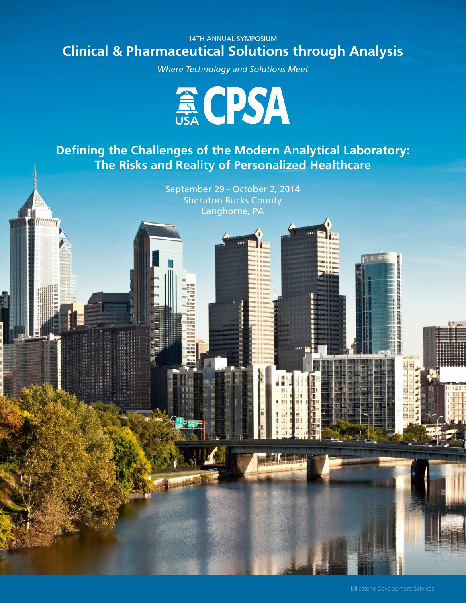# 14TH ANNUAL SYMPOSIUM **Clinical & Pharmaceutical Solutions through Analysis**

*Where Technology and Solutions Meet*



**Defining the Challenges of the Modern Analytical Laboratory: The Risks and Reality of Personalized Healthcare**

> September 29 - October 2, 2014 Sheraton Bucks County Langhorne, PA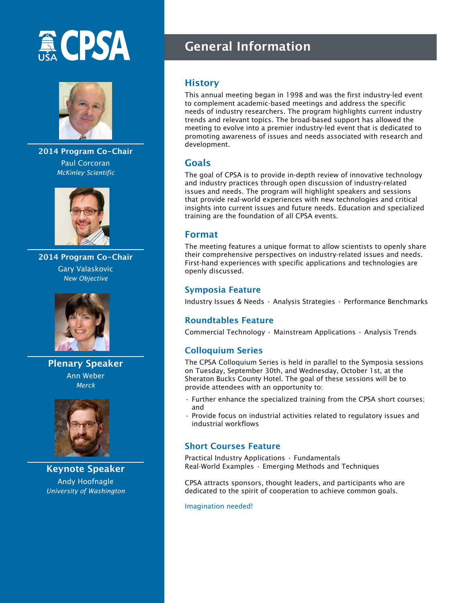# **A CPSA**



**2014 Program Co-Chair** Paul Corcoran *McKinley Scientific*



**2014 Program Co-Chair** Gary Valaskovic *New Objective*



**Plenary Speaker** Ann Weber *Merck*



**Keynote Speaker** Andy Hoofnagle *University of Washington*

# **General Information**

# **History**

This annual meeting began in 1998 and was the first industry-led event to complement academic-based meetings and address the specific needs of industry researchers. The program highlights current industry trends and relevant topics. The broad-based support has allowed the meeting to evolve into a premier industry-led event that is dedicated to promoting awareness of issues and needs associated with research and development.

# **Goals**

The goal of CPSA is to provide in-depth review of innovative technology and industry practices through open discussion of industry-related issues and needs. The program will highlight speakers and sessions that provide real-world experiences with new technologies and critical insights into current issues and future needs. Education and specialized training are the foundation of all CPSA events.

# **Format**

The meeting features a unique format to allow scientists to openly share their comprehensive perspectives on industry-related issues and needs. First-hand experiences with specific applications and technologies are openly discussed.

#### **Symposia Feature**

Industry Issues & Needs • Analysis Strategies • Performance Benchmarks

# **Roundtables Feature**

Commercial Technology • Mainstream Applications • Analysis Trends

# **Colloquium Series**

The CPSA Colloquium Series is held in parallel to the Symposia sessions on Tuesday, September 30th, and Wednesday, October 1st, at the Sheraton Bucks County Hotel. The goal of these sessions will be to provide attendees with an opportunity to:

- Further enhance the specialized training from the CPSA short courses; and
- Provide focus on industrial activities related to regulatory issues and industrial workflows

# **Short Courses Feature**

Practical Industry Applications • Fundamentals Real-World Examples • Emerging Methods and Techniques

CPSA attracts sponsors, thought leaders, and participants who are dedicated to the spirit of cooperation to achieve common goals.

Imagination needed!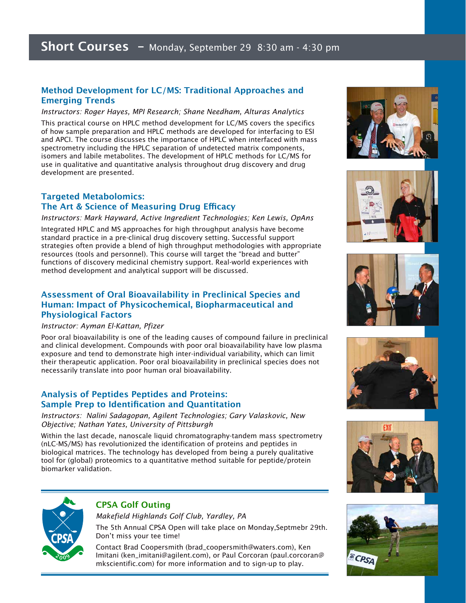#### **Method Development for LC/MS: Traditional Approaches and Emerging Trends**

*Instructors: Roger Hayes, MPI Research; Shane Needham, Alturas Analytics*

This practical course on HPLC method development for LC/MS covers the specifics of how sample preparation and HPLC methods are developed for interfacing to ESI and APCI. The course discusses the importance of HPLC when interfaced with mass spectrometry including the HPLC separation of undetected matrix components, isomers and labile metabolites. The development of HPLC methods for LC/MS for use in qualitative and quantitative analysis throughout drug discovery and drug development are presented.

#### **Targeted Metabolomics: The Art & Science of Measuring Drug Efficacy**

*Instructors: Mark Hayward, Active Ingredient Technologies; Ken Lewis, OpAns*

Integrated HPLC and MS approaches for high throughput analysis have become standard practice in a pre-clinical drug discovery setting. Successful support strategies often provide a blend of high throughput methodologies with appropriate resources (tools and personnel). This course will target the "bread and butter" functions of discovery medicinal chemistry support. Real-world experiences with method development and analytical support will be discussed.

#### **Assessment of Oral Bioavailability in Preclinical Species and Human: Impact of Physicochemical, Biopharmaceutical and Physiological Factors**

#### *Instructor: Ayman El-Kattan, Pfizer*

Poor oral bioavailability is one of the leading causes of compound failure in preclinical and clinical development. Compounds with poor oral bioavailability have low plasma exposure and tend to demonstrate high inter-individual variability, which can limit their therapeutic application. Poor oral bioavailability in preclinical species does not necessarily translate into poor human oral bioavailability.

#### **Analysis of Peptides Peptides and Proteins: Sample Prep to Identification and Quantitation**

*Instructors: Nalini Sadagopan, Agilent Technologies; Gary Valaskovic, New Objective; Nathan Yates, University of Pittsburgh*

Within the last decade, nanoscale liquid chromatography-tandem mass spectrometry (nLC-MS/MS) has revolutionized the identification of proteins and peptides in biological matrices. The technology has developed from being a purely qualitative tool for (global) proteomics to a quantitative method suitable for peptide/protein biomarker validation.













# **CPSA Golf Outing**

*Makefield Highlands Golf Club, Yardley, PA* The 5th Annual CPSA Open will take place on Monday,Septmebr 29th. Don't miss your tee time!

Contact Brad Coopersmith (brad\_coopersmith@waters.com), Ken Imitani (ken\_imitani@agilent.com), or Paul Corcoran (paul.corcoran@ mkscientific.com) for more information and to sign-up to play.